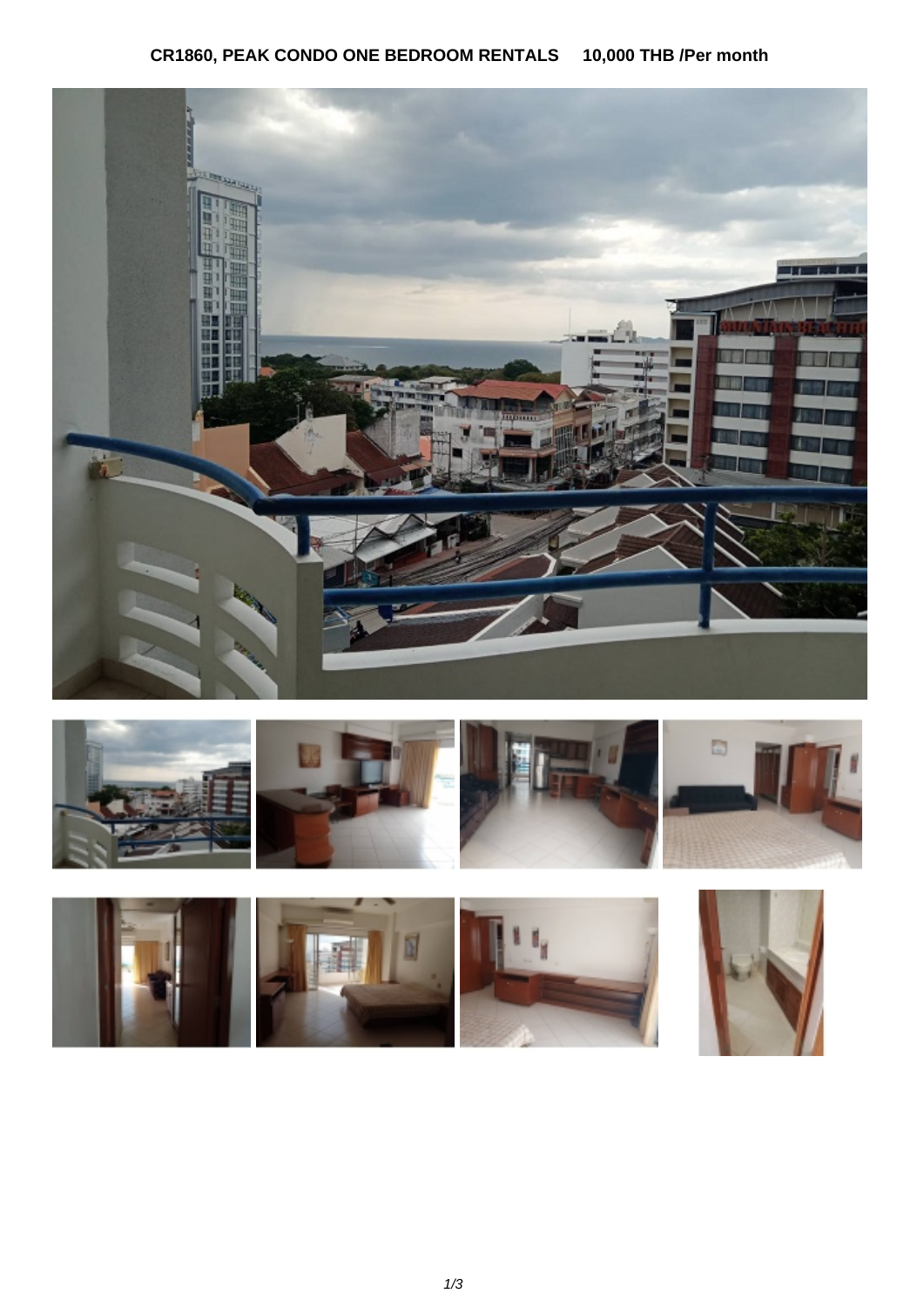## **CR1860, PEAK CONDO ONE BEDROOM RENTALS 10,000 THB /Per month**